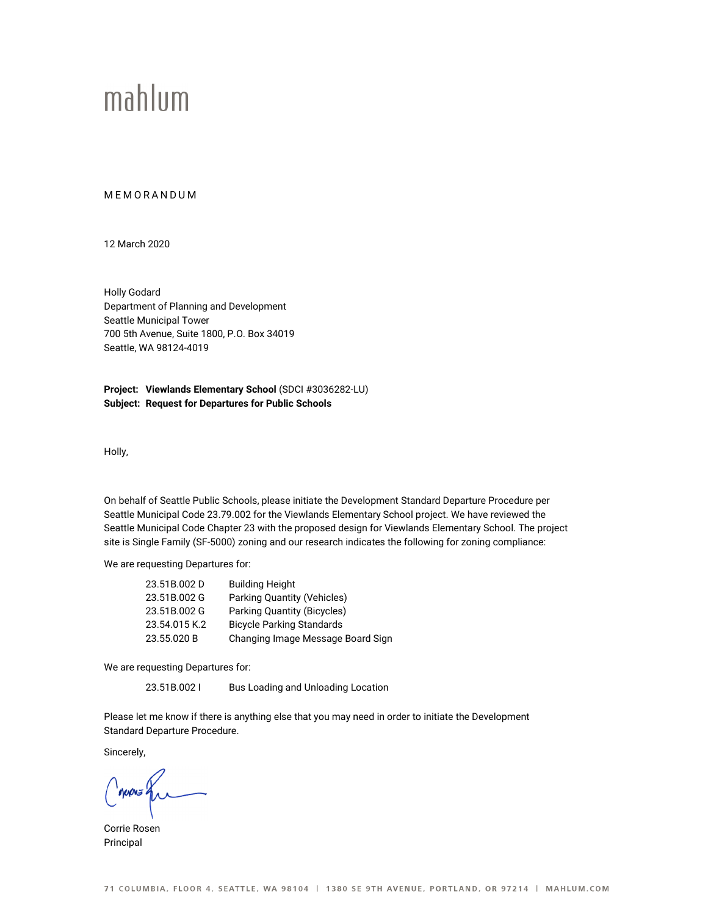## mahlum

## **MEMORANDUM**

12 March 2020

Holly Godard Department of Planning and Development Seattle Municipal Tower 700 5th Avenue, Suite 1800, P.O. Box 34019 Seattle, WA 98124-4019

**Project: Viewlands Elementary School** (SDCI #3036282-LU) **Subject: Request for Departures for Public Schools** 

Holly,

On behalf of Seattle Public Schools, please initiate the Development Standard Departure Procedure per Seattle Municipal Code 23.79.002 for the Viewlands Elementary School project. We have reviewed the Seattle Municipal Code Chapter 23 with the proposed design for Viewlands Elementary School. The project site is Single Family (SF-5000) zoning and our research indicates the following for zoning compliance:

We are requesting Departures for:

| 23.51B.002D   | <b>Building Height</b>            |
|---------------|-----------------------------------|
| 23.51B.002 G  | Parking Quantity (Vehicles)       |
| 23.51B.002 G  | Parking Quantity (Bicycles)       |
| 23.54.015 K.2 | <b>Bicycle Parking Standards</b>  |
| 23.55.020 B   | Changing Image Message Board Sign |
|               |                                   |

We are requesting Departures for:

23.51B.002 I Bus Loading and Unloading Location

Please let me know if there is anything else that you may need in order to initiate the Development Standard Departure Procedure.

Sincerely,

Corrie Rosen Principal